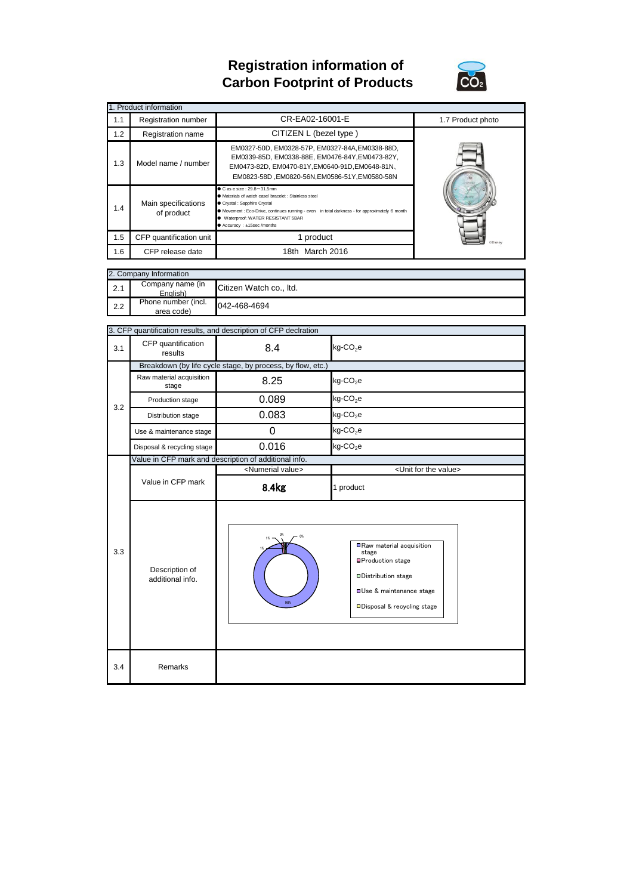## **Registration information of Carbon Footprint of Products**



|     | 1. Product information            |                                                                                                                                                                                                                                                                                                      |                   |
|-----|-----------------------------------|------------------------------------------------------------------------------------------------------------------------------------------------------------------------------------------------------------------------------------------------------------------------------------------------------|-------------------|
| 1.1 | Registration number               | CR-EA02-16001-E                                                                                                                                                                                                                                                                                      | 1.7 Product photo |
| 1.2 | Registration name                 | CITIZEN L (bezel type)                                                                                                                                                                                                                                                                               |                   |
| 1.3 | Model name / number               | EM0327-50D, EM0328-57P, EM0327-84A, EM0338-88D,<br>EM0339-85D, EM0338-88E, EM0476-84Y, EM0473-82Y,<br>EM0473-82D, EM0470-81Y, EM0640-91D, EM0648-81N,<br>EM0823-58D .EM0820-56N.EM0586-51Y.EM0580-58N                                                                                                |                   |
| 1.4 | Main specifications<br>of product | $\bullet$ C as e size: 29.8 $\sim$ 31.5mm<br>• Materials of watch case/ bracelet : Stainless steel<br>Crystal : Sapphire Crystal<br>• Movement : Eco-Drive, continues running - even in total darkness - for approximately 6 month<br>Waterproof: WATER RESISTANT 5BAR<br>● Accuracy: ±15sec /months |                   |
| 1.5 | CFP quantification unit           | 1 product                                                                                                                                                                                                                                                                                            | <b>ODisney</b>    |
| 1.6 | CFP release date                  | 18th March 2016                                                                                                                                                                                                                                                                                      |                   |

|     | 2. Company Information            |                         |  |  |
|-----|-----------------------------------|-------------------------|--|--|
| 2.1 | Company name (in<br>English)      | Citizen Watch co., Itd. |  |  |
| 2.2 | Phone number (incl.<br>area code) | 042-468-4694            |  |  |

|     | 3. CFP quantification results, and description of CFP declration |                                                       |                                                                                                                                                                              |  |  |
|-----|------------------------------------------------------------------|-------------------------------------------------------|------------------------------------------------------------------------------------------------------------------------------------------------------------------------------|--|--|
| 3.1 | CFP quantification<br>results                                    | 8.4                                                   | kg-CO <sub>2</sub> e                                                                                                                                                         |  |  |
|     | Breakdown (by life cycle stage, by process, by flow, etc.)       |                                                       |                                                                                                                                                                              |  |  |
|     | Raw material acquisition<br>stage                                | 8.25                                                  | kg-CO <sub>2</sub> e                                                                                                                                                         |  |  |
| 3.2 | Production stage                                                 | 0.089                                                 | $kg$ -CO <sub>2</sub> e                                                                                                                                                      |  |  |
|     | Distribution stage                                               | 0.083                                                 | $kg$ -CO <sub>2</sub> e                                                                                                                                                      |  |  |
|     | Use & maintenance stage                                          | 0                                                     | $kg$ -CO <sub>2</sub> e                                                                                                                                                      |  |  |
|     | Disposal & recycling stage                                       | 0.016                                                 | kg-CO <sub>2</sub> e                                                                                                                                                         |  |  |
|     |                                                                  | Value in CFP mark and description of additional info. |                                                                                                                                                                              |  |  |
|     |                                                                  | <numerial value=""></numerial>                        | <unit for="" the="" value=""></unit>                                                                                                                                         |  |  |
|     | Value in CFP mark                                                | 8.4kg                                                 | 1 product                                                                                                                                                                    |  |  |
| 3.3 | Description of<br>additional info.                               | 98%                                                   | Raw material acquisition<br>stage<br><b>□Production stage</b><br><b>ODistribution stage</b><br><b>OUse &amp; maintenance stage</b><br><b>□Disposal &amp; recycling stage</b> |  |  |
| 3.4 | Remarks                                                          |                                                       |                                                                                                                                                                              |  |  |